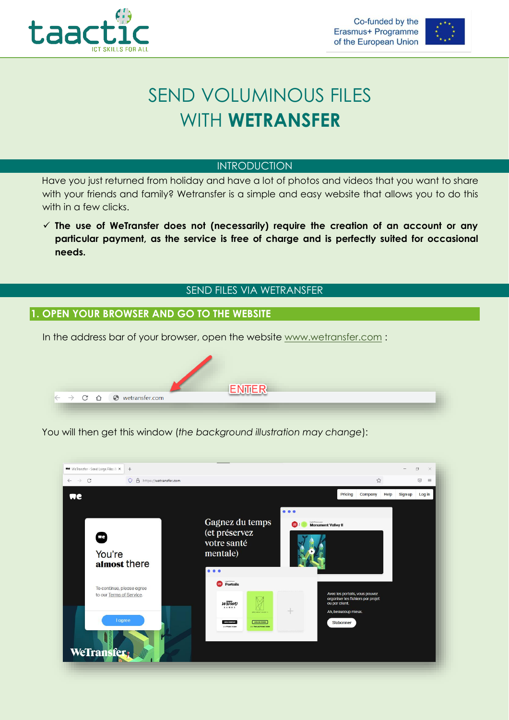



# SEND VOLUMINOUS FILES WITH **WETRANSFER**

### INTRODUCTION

Have you just returned from holiday and have a lot of photos and videos that you want to share with your friends and family? Wetransfer is a simple and easy website that allows you to do this with in a few clicks.

 **The use of WeTransfer does not (necessarily) require the creation of an account or any particular payment, as the service is free of charge and is perfectly suited for occasional needs.** 

## SEND FILES VIA WETRANSFER

## **1. OPEN YOUR BROWSER AND GO TO THE WEBSITE**

In the address bar of your browser, open the website [www.wetransfer.com](http://www.wetransfer.com/) :



You will then get this window (*the background illustration may change*):

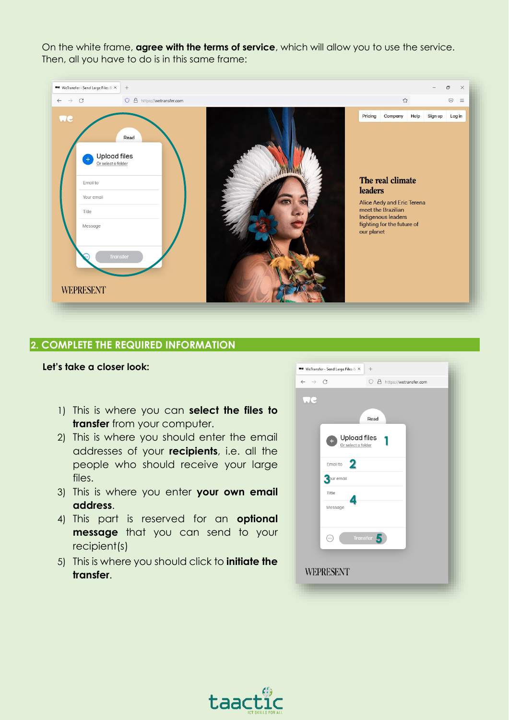On the white frame, **agree with the terms of service**, which will allow you to use the service. Then, all you have to do is in this same frame:



#### **2. COMPLETE THE REQUIRED INFORMATION**

#### **Let's take a closer look:**

- 1) This is where you can **select the files to transfer** from your computer.
- 2) This is where you should enter the email addresses of your **recipients**, i.e. all the people who should receive your large files.
- 3) This is where you enter **your own email address**.
- 4) This part is reserved for an **optional message** that you can send to your recipient(s)
- 5) This is where you should click to **initiate the transfer**.

| $\leftarrow$<br>$\rightarrow$ | $\mathcal{C}$<br>O A https://wetransfer.com                                       |
|-------------------------------|-----------------------------------------------------------------------------------|
|                               | Read                                                                              |
|                               | Upload files<br>Or select a folder                                                |
|                               | 2<br>Email to                                                                     |
|                               | 2 our email                                                                       |
|                               | Title                                                                             |
|                               | Message                                                                           |
|                               | Transfer<br>$(\hspace{-0.2cm} \cdot \hspace{-0.2cm} \cdot \hspace{-0.2cm} \cdot)$ |
|                               | <b>WEPRESENT</b>                                                                  |

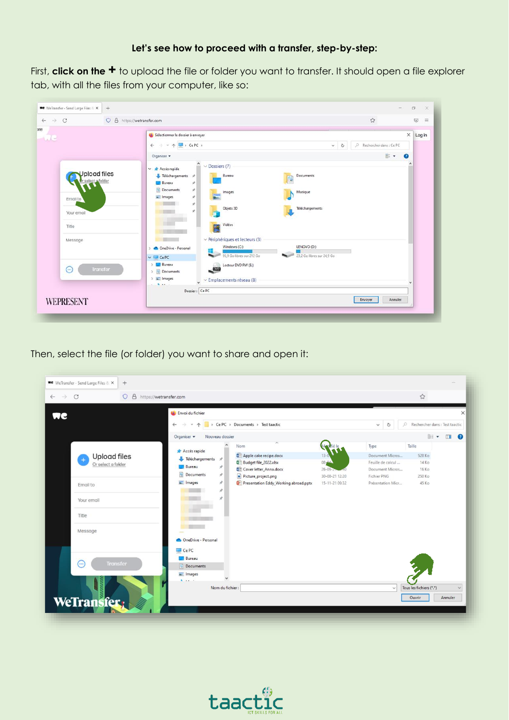#### **Let's see how to proceed with a transfer, step-by-step:**

First, **click on the +** to upload the file or folder you want to transfer. It should open a file explorer tab, with all the files from your computer, like so:

| $\rightarrow$ C<br>$\leftarrow$ | O A https://wetransfer.com |                                                                        | ☆<br>$\odot$<br>$\equiv$               |
|---------------------------------|----------------------------|------------------------------------------------------------------------|----------------------------------------|
| $\sim$                          |                            | Sélectionner le dossier à envoyer                                      | $\times$ Log in                        |
|                                 |                            | $\rightarrow$ $\sim$ $\uparrow$ $\blacksquare$ , CePC,<br>$\leftarrow$ | P Rechercher dans : Ce PC<br>$~\vee$ 0 |
|                                 |                            | Organiser v                                                            | $\mathbb{R}$ .<br>$\boldsymbol{Q}$     |
|                                 |                            | $\hat{ }$<br>$\vee$ Dossiers (7)<br>↓ ★ Accès rapide                   | ٠                                      |
|                                 | Jpload files               | Bureau<br>Téléchargements *<br>生                                       | Documents                              |
|                                 | select o folder            | <b>Bureau</b><br>À                                                     |                                        |
|                                 |                            | Documents<br>À<br>Images<br>$=$ Images<br>st.                          | Musique                                |
|                                 | Email to                   | ÷                                                                      |                                        |
|                                 | Your email                 | Objets 3D<br>v                                                         | Téléchargements                        |
|                                 | Title                      | Vidéos<br>R                                                            |                                        |
|                                 |                            |                                                                        |                                        |
|                                 | Message                    | $\vee$ Périphériques et lecteurs (3)                                   |                                        |
|                                 |                            | Windows (C:)<br>OneDrive - Personal<br>$\rightarrow$<br>鼉              | LENOVO (D:)                            |
|                                 |                            | 95.9 Go libres sur 212 Go<br><b>Barbara</b><br>$\vee$ $\Box$ CePC      | 23.2 Go libres sur 24.9 Go             |
|                                 | $\odot$<br><b>Transfer</b> | > Bureau<br>Lecteur DVD RW (E:)<br>$\sim$                              |                                        |
|                                 |                            | Documents                                                              |                                        |
|                                 |                            | $\sum$ images<br>$\vee$ Emplacements réseau (8)<br>$k$ and $k$         |                                        |
|                                 |                            | Dossier: Ce PC                                                         |                                        |
|                                 | <b>WEPRESENT</b>           |                                                                        | Envoyer<br>Annuler                     |

Then, select the file (or folder) you want to share and open it:



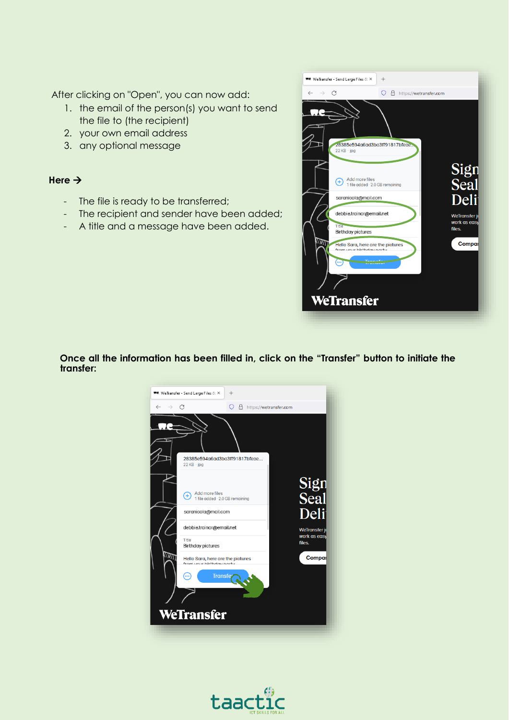After clicking on "Open", you can now add:

- 1. the email of the person(s) you want to send the file to (the recipient)
- 2. your own email address
- 3. any optional message

## Here  $\rightarrow$

- The file is ready to be transferred;
- The recipient and sender have been added;
- A title and a message have been added.



**Once all the information has been filled in, click on the "Transfer" button to initiate the transfer:**